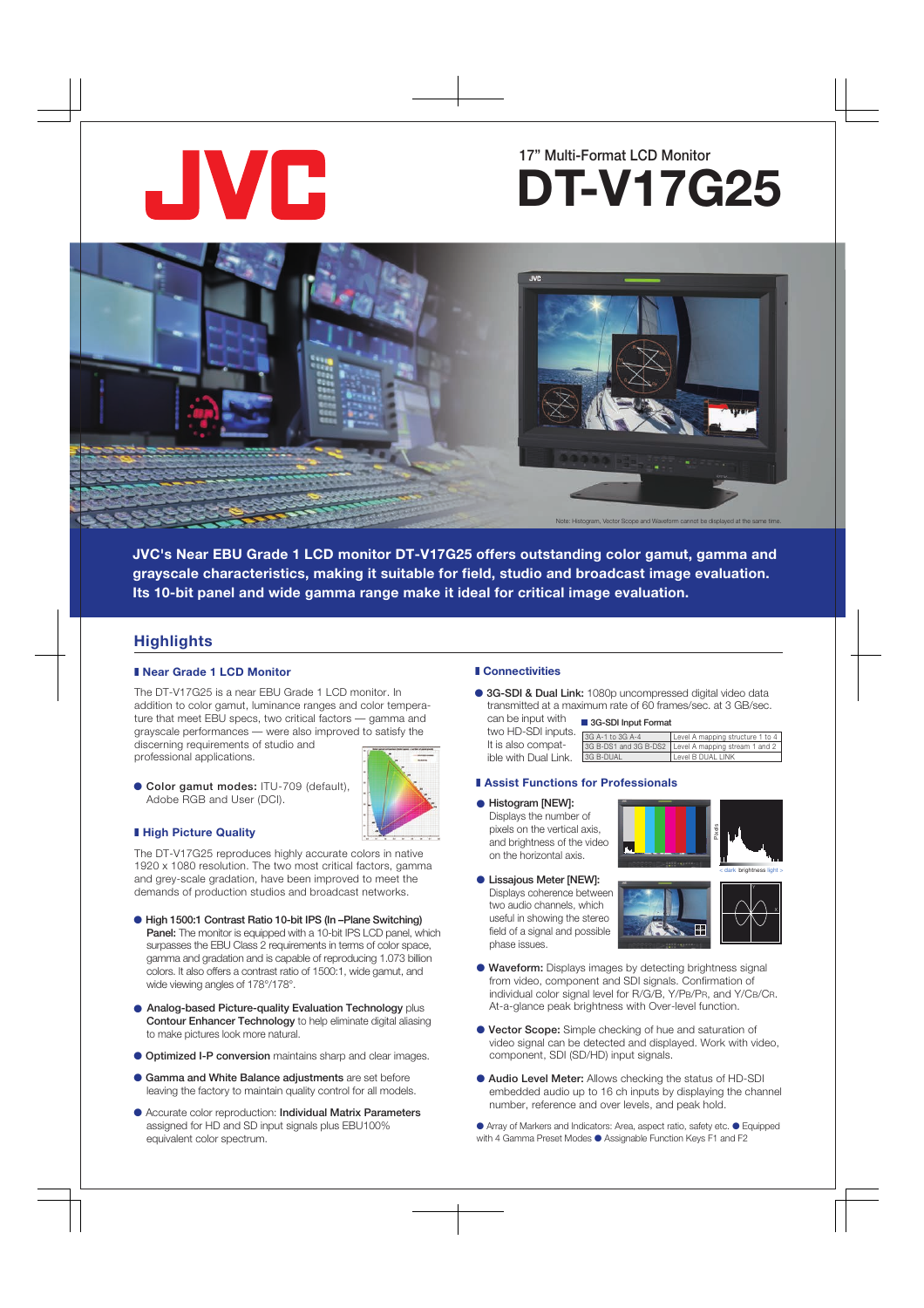

# 17" Multi-Format LCD Monitor **DT-V17G25**



**JVC's Near EBU Grade 1 LCD monitor DT-V17G25 offers outstanding color gamut, gamma and grayscale characteristics, making it suitable for field, studio and broadcast image evaluation. Its 10-bit panel and wide gamma range make it ideal for critical image evaluation.** 

# **Highlights**

# ■ Near Grade 1 LCD Monitor

The DT-V17G25 is a near EBU Grade 1 LCD monitor. In addition to color gamut, luminance ranges and color temperature that meet EBU specs, two critical factors — gamma and grayscale performances — were also improved to satisfy the discerning requirements of studio and professional applications.



● Color gamut modes: ITU-709 (default), Adobe RGB and User (DCI). **All the Contract of Histogram [NEW]: • Histogram [NEW]:** 

# ■ **High Picture Quality**

The DT-V17G25 reproduces highly accurate colors in native 1920 x 1080 resolution. The two most critical factors, gamma and grey-scale gradation, have been improved to meet the demands of production studios and broadcast networks.

- High 1500:1 Contrast Ratio 10-bit IPS (In –Plane Switching) Panel: The monitor is equipped with a 10-bit IPS LCD panel, which surpasses the EBU Class 2 requirements in terms of color space, gamma and gradation and is capable of reproducing 1.073 billion colors. It also offers a contrast ratio of 1500:1, wide gamut, and wide viewing angles of 178°/178°.
- Analog-based Picture-quality Evaluation Technology plus Contour Enhancer Technology to help eliminate digital aliasing to make pictures look more natural.
- Optimized I-P conversion maintains sharp and clear images.
- Gamma and White Balance adjustments are set before leaving the factory to maintain quality control for all models.
- Accurate color reproduction: Individual Matrix Parameters assigned for HD and SD input signals plus EBU100% equivalent color spectrum.

# ❚ **Connectivities**

It is also compatible with Dual Link.

● 3G-SDI & Dual Link: 1080p uncompressed digital video data transmitted at a maximum rate of 60 frames/sec. at 3 GB/sec. can be input with

#### two HD-SDI inputs. ■ 3G-SDI Input Format

| ______           |                                                      |
|------------------|------------------------------------------------------|
| 3G A-1 to 3G A-4 | Level A mapping structure 1 to 4                     |
|                  | 3G B-DS1 and 3G B-DS2 Level A mapping stream 1 and 2 |
| 3G B-DUAL        | Level B DUAL LINK                                    |

# **■ Assist Functions for Professionals**

Displays the number of pixels on the vertical axis, and brightness of the video on the horizontal axis.

**• Lissajous Meter [NEW]:** Displays coherence between two audio channels, which useful in showing the stereo field of a signal and possible phase issues.





- Waveform: Displays images by detecting brightness signal from video, component and SDI signals. Confirmation of individual color signal level for R/G/B, Y/PB/PR, and Y/CB/CR. At-a-glance peak brightness with Over-level function.
- Vector Scope: Simple checking of hue and saturation of video signal can be detected and displayed. Work with video, component, SDI (SD/HD) input signals.
- Audio Level Meter: Allows checking the status of HD-SDI embedded audio up to 16 ch inputs by displaying the channel number, reference and over levels, and peak hold.

● Array of Markers and Indicators: Area, aspect ratio, safety etc. ● Equipped with 4 Gamma Preset Modes ● Assignable Function Keys F1 and F2